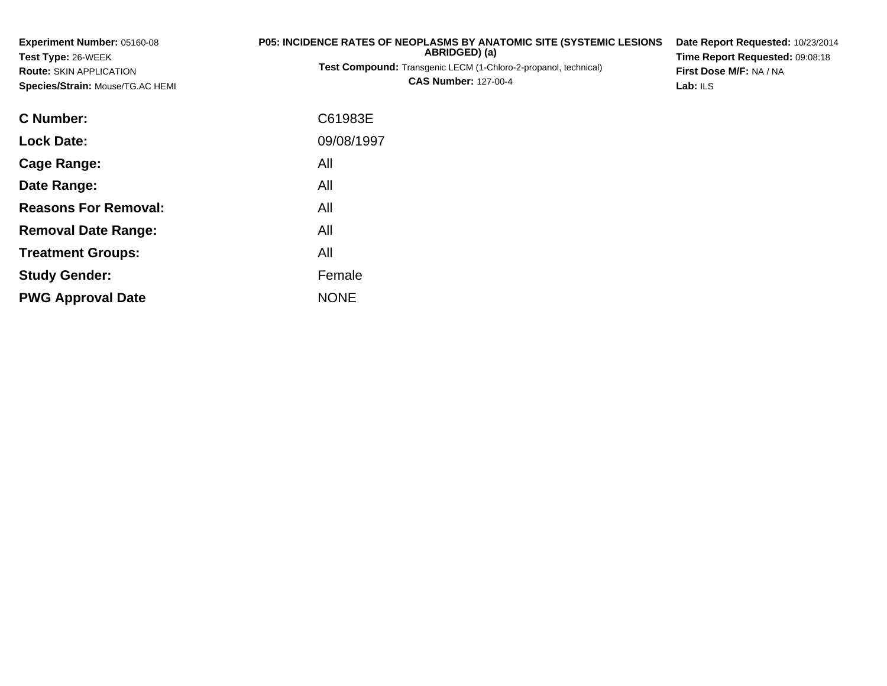| Experiment Number: 05160-08                                                              | <b>P05: INCIDENCE RATES OF NEOPLASMS BY ANATOMIC SITE (SYSTEMIC LESIONS)</b> | Date Report Requested: 10/23/2014<br>Time Report Requested: 09:08:18<br>First Dose M/F: NA / NA |  |  |
|------------------------------------------------------------------------------------------|------------------------------------------------------------------------------|-------------------------------------------------------------------------------------------------|--|--|
| Test Type: 26-WEEK<br><b>Route: SKIN APPLICATION</b><br>Species/Strain: Mouse/TG.AC HEMI | ABRIDGED) (a)                                                                |                                                                                                 |  |  |
|                                                                                          | Test Compound: Transgenic LECM (1-Chloro-2-propanol, technical)              |                                                                                                 |  |  |
|                                                                                          | <b>CAS Number: 127-00-4</b>                                                  | Lab: ILS                                                                                        |  |  |
| C Number:                                                                                | C61983E                                                                      |                                                                                                 |  |  |
| <b>Lock Date:</b>                                                                        | 09/08/1997                                                                   |                                                                                                 |  |  |
| <b>Cage Range:</b>                                                                       | All                                                                          |                                                                                                 |  |  |
| Date Range:                                                                              | All                                                                          |                                                                                                 |  |  |
| <b>Reasons For Removal:</b>                                                              | All                                                                          |                                                                                                 |  |  |
| <b>Removal Date Range:</b>                                                               | All                                                                          |                                                                                                 |  |  |
| <b>Treatment Groups:</b>                                                                 | All                                                                          |                                                                                                 |  |  |

Female

e NONE

**Study Gender:**

**PWG Approval Date**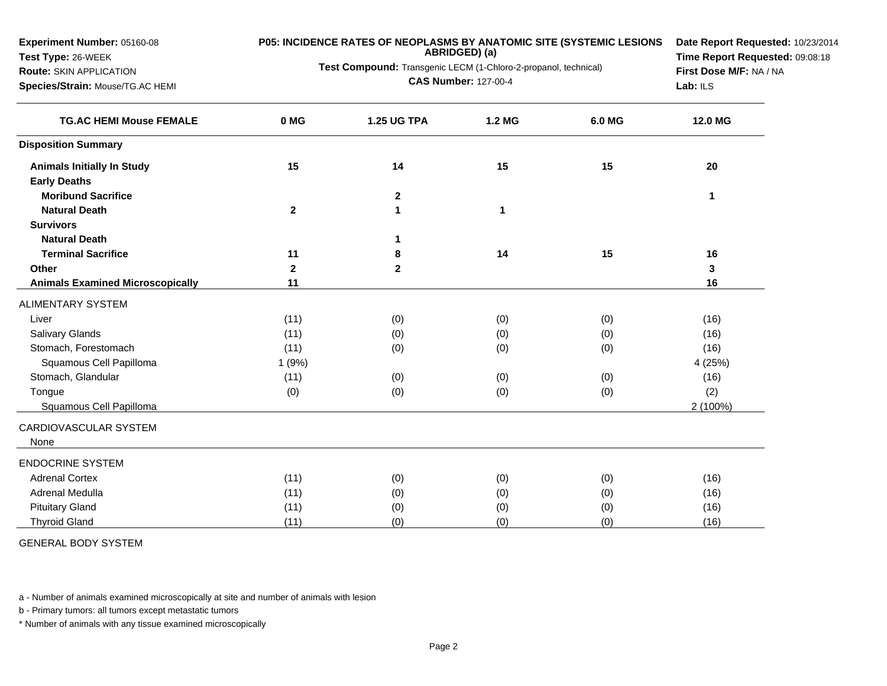**Experiment Number:** 05160-08

## **Test Type:** 26-WEEK

**Route:** SKIN APPLICATION

**Species/Strain:** Mouse/TG.AC HEMI

## **P05: INCIDENCE RATES OF NEOPLASMS BY ANATOMIC SITE (SYSTEMIC LESIONS ABRIDGED) (a)**

**Test Compound:** Transgenic LECM (1-Chloro-2-propanol, technical)

**CAS Number:** 127-00-4

**Date Report Requested:** 10/23/2014**Time Report Requested:** 09:08:18**First Dose M/F:** NA / NA**Lab:** ILS

| <b>TG.AC HEMI Mouse FEMALE</b>          | 0 MG         | <b>1.25 UG TPA</b> | 1.2 MG | 6.0 MG | 12.0 MG  |
|-----------------------------------------|--------------|--------------------|--------|--------|----------|
| <b>Disposition Summary</b>              |              |                    |        |        |          |
| <b>Animals Initially In Study</b>       | 15           | 14                 | 15     | 15     | 20       |
| <b>Early Deaths</b>                     |              |                    |        |        |          |
| <b>Moribund Sacrifice</b>               |              | $\mathbf 2$        |        |        | 1        |
| <b>Natural Death</b>                    | $\mathbf{2}$ | 1                  | 1      |        |          |
| <b>Survivors</b>                        |              |                    |        |        |          |
| <b>Natural Death</b>                    |              |                    |        |        |          |
| <b>Terminal Sacrifice</b>               | 11           | 8                  | 14     | 15     | 16       |
| Other                                   | $\mathbf{2}$ | $\mathbf{2}$       |        |        | 3        |
| <b>Animals Examined Microscopically</b> | 11           |                    |        |        | 16       |
| <b>ALIMENTARY SYSTEM</b>                |              |                    |        |        |          |
| Liver                                   | (11)         | (0)                | (0)    | (0)    | (16)     |
| Salivary Glands                         | (11)         | (0)                | (0)    | (0)    | (16)     |
| Stomach, Forestomach                    | (11)         | (0)                | (0)    | (0)    | (16)     |
| Squamous Cell Papilloma                 | 1(9%)        |                    |        |        | 4 (25%)  |
| Stomach, Glandular                      | (11)         | (0)                | (0)    | (0)    | (16)     |
| Tongue                                  | (0)          | (0)                | (0)    | (0)    | (2)      |
| Squamous Cell Papilloma                 |              |                    |        |        | 2 (100%) |
| CARDIOVASCULAR SYSTEM                   |              |                    |        |        |          |
| None                                    |              |                    |        |        |          |
| <b>ENDOCRINE SYSTEM</b>                 |              |                    |        |        |          |
| <b>Adrenal Cortex</b>                   | (11)         | (0)                | (0)    | (0)    | (16)     |
| Adrenal Medulla                         | (11)         | (0)                | (0)    | (0)    | (16)     |
| <b>Pituitary Gland</b>                  | (11)         | (0)                | (0)    | (0)    | (16)     |
| <b>Thyroid Gland</b>                    | (11)         | (0)                | (0)    | (0)    | (16)     |

GENERAL BODY SYSTEM

a - Number of animals examined microscopically at site and number of animals with lesion

b - Primary tumors: all tumors except metastatic tumors

\* Number of animals with any tissue examined microscopically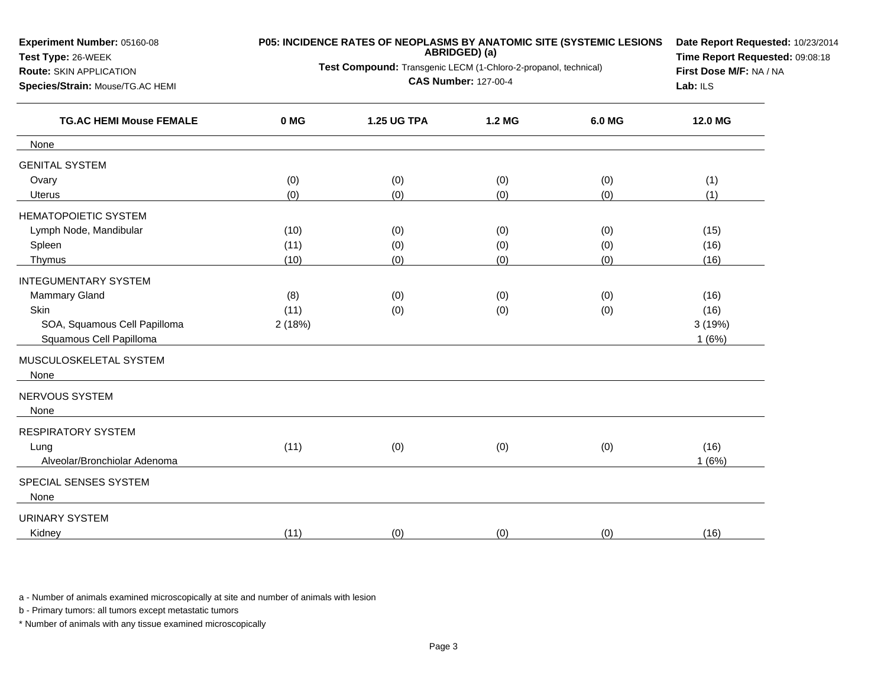| Experiment Number: 05160-08<br>Test Type: 26-WEEK                                                    | P05: INCIDENCE RATES OF NEOPLASMS BY ANATOMIC SITE (SYSTEMIC LESIONS | Date Report Requested: 10/23/2014<br>Time Report Requested: 09:08:18<br>First Dose M/F: NA / NA<br>Lab: ILS |        |        |         |
|------------------------------------------------------------------------------------------------------|----------------------------------------------------------------------|-------------------------------------------------------------------------------------------------------------|--------|--------|---------|
| <b>Route: SKIN APPLICATION</b><br>Species/Strain: Mouse/TG.AC HEMI<br><b>TG.AC HEMI Mouse FEMALE</b> | Test Compound: Transgenic LECM (1-Chloro-2-propanol, technical)      |                                                                                                             |        |        |         |
|                                                                                                      | 0 MG                                                                 | <b>1.25 UG TPA</b>                                                                                          | 1.2 MG | 6.0 MG | 12.0 MG |
| None                                                                                                 |                                                                      |                                                                                                             |        |        |         |
| <b>GENITAL SYSTEM</b>                                                                                |                                                                      |                                                                                                             |        |        |         |
| Ovary                                                                                                | (0)                                                                  | (0)                                                                                                         | (0)    | (0)    | (1)     |
| Uterus                                                                                               | (0)                                                                  | (0)                                                                                                         | (0)    | (0)    | (1)     |
| <b>HEMATOPOIETIC SYSTEM</b>                                                                          |                                                                      |                                                                                                             |        |        |         |
| Lymph Node, Mandibular                                                                               | (10)                                                                 | (0)                                                                                                         | (0)    | (0)    | (15)    |
| Spleen                                                                                               | (11)                                                                 | (0)                                                                                                         | (0)    | (0)    | (16)    |
| Thymus                                                                                               | (10)                                                                 | (0)                                                                                                         | (0)    | (0)    | (16)    |
| <b>INTEGUMENTARY SYSTEM</b>                                                                          |                                                                      |                                                                                                             |        |        |         |
| Mammary Gland                                                                                        | (8)                                                                  | (0)                                                                                                         | (0)    | (0)    | (16)    |
| Skin                                                                                                 | (11)                                                                 | (0)                                                                                                         | (0)    | (0)    | (16)    |
| SOA, Squamous Cell Papilloma                                                                         | 2(18%)                                                               |                                                                                                             |        |        | 3(19%)  |
| Squamous Cell Papilloma                                                                              |                                                                      |                                                                                                             |        |        | 1(6%)   |
| MUSCULOSKELETAL SYSTEM                                                                               |                                                                      |                                                                                                             |        |        |         |
| None                                                                                                 |                                                                      |                                                                                                             |        |        |         |
| NERVOUS SYSTEM<br>None                                                                               |                                                                      |                                                                                                             |        |        |         |
| <b>RESPIRATORY SYSTEM</b>                                                                            |                                                                      |                                                                                                             |        |        |         |
| Lung                                                                                                 | (11)                                                                 |                                                                                                             |        |        | (16)    |
| Alveolar/Bronchiolar Adenoma                                                                         |                                                                      | (0)                                                                                                         | (0)    | (0)    | 1(6%)   |
|                                                                                                      |                                                                      |                                                                                                             |        |        |         |
| SPECIAL SENSES SYSTEM                                                                                |                                                                      |                                                                                                             |        |        |         |
| None                                                                                                 |                                                                      |                                                                                                             |        |        |         |
| <b>URINARY SYSTEM</b>                                                                                |                                                                      |                                                                                                             |        |        |         |
| Kidney                                                                                               | (11)                                                                 | (0)                                                                                                         | (0)    | (0)    | (16)    |

a - Number of animals examined microscopically at site and number of animals with lesion

b - Primary tumors: all tumors except metastatic tumors

\* Number of animals with any tissue examined microscopically